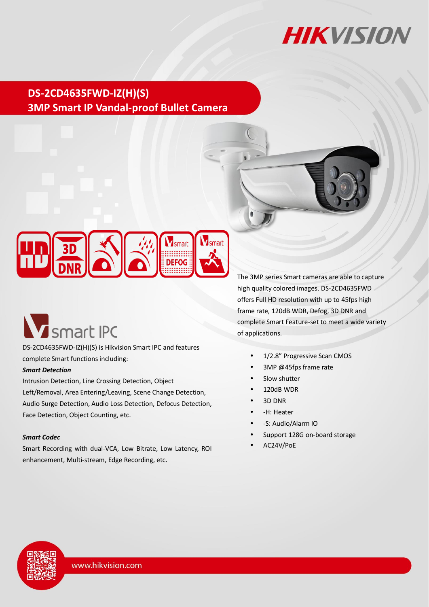

## **DS-2CD4635FWD-IZ(H)(S) 3MP Smart IP Vandal-proof Bullet Camera**



# **V** smart IPC

DS-2CD4635FWD-IZ(H)(S) is Hikvision Smart IPC and features complete Smart functions including:

#### *Smart Detection*

Intrusion Detection, Line Crossing Detection, Object Left/Removal, Area Entering/Leaving, Scene Change Detection, Audio Surge Detection, Audio Loss Detection, Defocus Detection, Face Detection, Object Counting, etc.

#### *Smart Codec*

Smart Recording with dual-VCA, Low Bitrate, Low Latency, ROI enhancement, Multi-stream, Edge Recording, etc.

The 3MP series Smart cameras are able to capture high quality colored images. DS-2CD4635FWD offers Full HD resolution with up to 45fps high frame rate, 120dB WDR, Defog, 3D DNR and complete Smart Feature-set to meet a wide variety of applications.

- 1/2.8" Progressive Scan CMOS
- 3MP @45fps frame rate
- Slow shutter
- 120dB WDR
- 3D DNR
- -H: Heater
- -S: Audio/Alarm IO
- Support 128G on-board storage
- AC24V/PoE

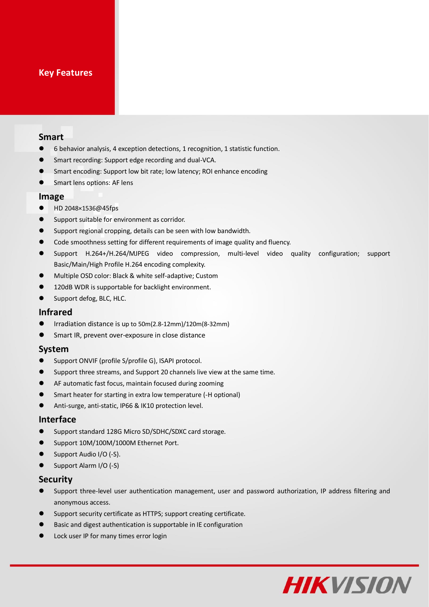### **Key Features**

#### **Smart**

- 6 behavior analysis, 4 exception detections, 1 recognition, 1 statistic function.
- Smart recording: Support edge recording and dual-VCA.
- **Smart encoding: Support low bit rate; low latency; ROI enhance encoding**
- **Smart lens options: AF lens**

#### **Image**

- HD 2048×1536@45fps
- **O** Support suitable for environment as corridor.
- Support regional cropping, details can be seen with low bandwidth.
- Code smoothness setting for different requirements of image quality and fluency.
- Support H.264+/H.264/MJPEG video compression, multi-level video quality configuration; support Basic/Main/High Profile H.264 encoding complexity.
- Multiple OSD color: Black & white self-adaptive; Custom
- **120dB WDR is supportable for backlight environment.**
- Support defog, BLC, HLC.

#### **Infrared**

- Irradiation distance is up to 50m(2.8-12mm)/120m(8-32mm)
- Smart IR, prevent over-exposure in close distance

#### **System**

- Support ONVIF (profile S/profile G), ISAPI protocol.
- Support three streams, and Support 20 channels live view at the same time.
- AF automatic fast focus, maintain focused during zooming
- Smart heater for starting in extra low temperature (-H optional)
- Anti-surge, anti-static, IP66 & IK10 protection level.

#### **Interface**

- Support standard 128G Micro SD/SDHC/SDXC card storage.
- Support 10M/100M/1000M Ethernet Port.
- Support Audio I/O (-S).
- Support Alarm I/O (-S)

#### **Security**

- Support three-level user authentication management, user and password authorization, IP address filtering and anonymous access.
- Support security certificate as HTTPS; support creating certificate.
- Basic and digest authentication is supportable in IE configuration
- Lock user IP for many times error login

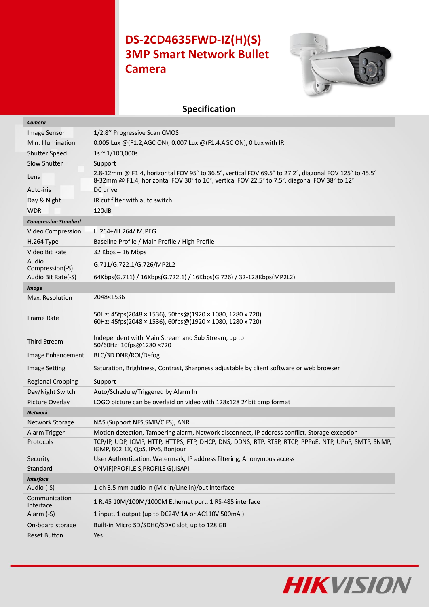# **DS-2CD4635FWD-IZ(H)(S) 3MP Smart Network Bullet Camera**



## **Specification**

| Camera                      |                                                                                                                                                                                                        |
|-----------------------------|--------------------------------------------------------------------------------------------------------------------------------------------------------------------------------------------------------|
| <b>Image Sensor</b>         | 1/2.8" Progressive Scan CMOS                                                                                                                                                                           |
| Min. Illumination           | 0.005 Lux @(F1.2,AGC ON), 0.007 Lux @(F1.4,AGC ON), 0 Lux with IR                                                                                                                                      |
| <b>Shutter Speed</b>        | $1s \sim 1/100,000s$                                                                                                                                                                                   |
| Slow Shutter                | Support                                                                                                                                                                                                |
| Lens                        | 2.8-12mm @ F1.4, horizontal FOV 95° to 36.5°, vertical FOV 69.5° to 27.2°, diagonal FOV 125° to 45.5°<br>8-32mm @ F1.4, horizontal FOV 30° to 10°, vertical FOV 22.5° to 7.5°, diagonal FOV 38° to 12° |
| Auto-iris                   | DC drive                                                                                                                                                                                               |
| Day & Night                 | IR cut filter with auto switch                                                                                                                                                                         |
| <b>WDR</b>                  | 120dB                                                                                                                                                                                                  |
| <b>Compression Standard</b> |                                                                                                                                                                                                        |
| Video Compression           | H.264+/H.264/ MJPEG                                                                                                                                                                                    |
| H.264 Type                  | Baseline Profile / Main Profile / High Profile                                                                                                                                                         |
| Video Bit Rate              | $32$ Kbps $-16$ Mbps                                                                                                                                                                                   |
| Audio<br>Compression(-S)    | G.711/G.722.1/G.726/MP2L2                                                                                                                                                                              |
| Audio Bit Rate(-S)          | 64Kbps(G.711) / 16Kbps(G.722.1) / 16Kbps(G.726) / 32-128Kbps(MP2L2)                                                                                                                                    |
| <b>Image</b>                |                                                                                                                                                                                                        |
| Max. Resolution             | 2048×1536                                                                                                                                                                                              |
| Frame Rate                  | 50Hz: 45fps(2048 × 1536), 50fps@(1920 × 1080, 1280 x 720)<br>60Hz: 45fps(2048 × 1536), 60fps@(1920 × 1080, 1280 x 720)                                                                                 |
| <b>Third Stream</b>         | Independent with Main Stream and Sub Stream, up to<br>50/60Hz: 10fps@1280 ×720                                                                                                                         |
| Image Enhancement           | BLC/3D DNR/ROI/Defog                                                                                                                                                                                   |
| <b>Image Setting</b>        | Saturation, Brightness, Contrast, Sharpness adjustable by client software or web browser                                                                                                               |
| <b>Regional Cropping</b>    | Support                                                                                                                                                                                                |
| Day/Night Switch            | Auto/Schedule/Triggered by Alarm In                                                                                                                                                                    |
| Picture Overlay             | LOGO picture can be overlaid on video with 128x128 24bit bmp format                                                                                                                                    |
| <b>Network</b>              |                                                                                                                                                                                                        |
| <b>Network Storage</b>      | NAS (Support NFS, SMB/CIFS), ANR                                                                                                                                                                       |
| Alarm Trigger               | Motion detection, Tampering alarm, Network disconnect, IP address conflict, Storage exception                                                                                                          |
| Protocols                   | TCP/IP, UDP, ICMP, HTTP, HTTPS, FTP, DHCP, DNS, DDNS, RTP, RTSP, RTCP, PPPOE, NTP, UPnP, SMTP, SNMP,<br>IGMP, 802.1X, QoS, IPv6, Bonjour                                                               |
| Security                    | User Authentication, Watermark, IP address filtering, Anonymous access                                                                                                                                 |
| Standard                    | ONVIF(PROFILE S, PROFILE G), ISAPI                                                                                                                                                                     |
| <b>Interface</b>            |                                                                                                                                                                                                        |
| Audio (-S)                  | 1-ch 3.5 mm audio in (Mic in/Line in)/out interface                                                                                                                                                    |
| Communication<br>Interface  | 1 RJ45 10M/100M/1000M Ethernet port, 1 RS-485 interface                                                                                                                                                |
| Alarm (-S)                  | 1 input, 1 output (up to DC24V 1A or AC110V 500mA)                                                                                                                                                     |
| On-board storage            | Built-in Micro SD/SDHC/SDXC slot, up to 128 GB                                                                                                                                                         |
| <b>Reset Button</b>         | Yes                                                                                                                                                                                                    |